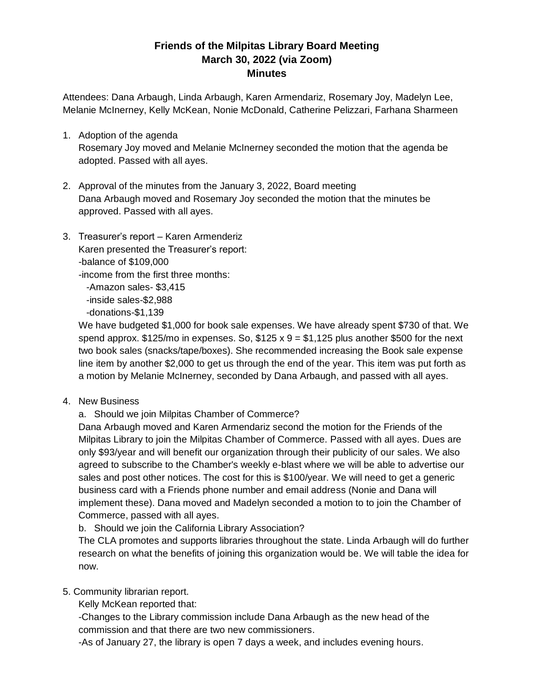## **Friends of the Milpitas Library Board Meeting March 30, 2022 (via Zoom) Minutes**

Attendees: Dana Arbaugh, Linda Arbaugh, Karen Armendariz, Rosemary Joy, Madelyn Lee, Melanie McInerney, Kelly McKean, Nonie McDonald, Catherine Pelizzari, Farhana Sharmeen

- 1. Adoption of the agenda Rosemary Joy moved and Melanie McInerney seconded the motion that the agenda be adopted. Passed with all ayes.
- 2. Approval of the minutes from the January 3, 2022, Board meeting Dana Arbaugh moved and Rosemary Joy seconded the motion that the minutes be approved. Passed with all ayes.
- 3. Treasurer's report Karen Armenderiz Karen presented the Treasurer's report: -balance of \$109,000 -income from the first three months:

 -Amazon sales- \$3,415 -inside sales-\$2,988

-donations-\$1,139

We have budgeted \$1,000 for book sale expenses. We have already spent \$730 of that. We spend approx.  $$125/m$ o in expenses. So,  $$125 \times 9 = $1,125$  plus another \$500 for the next two book sales (snacks/tape/boxes). She recommended increasing the Book sale expense line item by another \$2,000 to get us through the end of the year. This item was put forth as a motion by Melanie McInerney, seconded by Dana Arbaugh, and passed with all ayes.

4. New Business

a. Should we join Milpitas Chamber of Commerce?

Dana Arbaugh moved and Karen Armendariz second the motion for the Friends of the Milpitas Library to join the Milpitas Chamber of Commerce. Passed with all ayes. Dues are only \$93/year and will benefit our organization through their publicity of our sales. We also agreed to subscribe to the Chamber's weekly e-blast where we will be able to advertise our sales and post other notices. The cost for this is \$100/year. We will need to get a generic business card with a Friends phone number and email address (Nonie and Dana will implement these). Dana moved and Madelyn seconded a motion to to join the Chamber of Commerce, passed with all ayes.

b. Should we join the California Library Association?

The CLA promotes and supports libraries throughout the state. Linda Arbaugh will do further research on what the benefits of joining this organization would be. We will table the idea for now.

5. Community librarian report.

Kelly McKean reported that:

-Changes to the Library commission include Dana Arbaugh as the new head of the commission and that there are two new commissioners.

-As of January 27, the library is open 7 days a week, and includes evening hours.